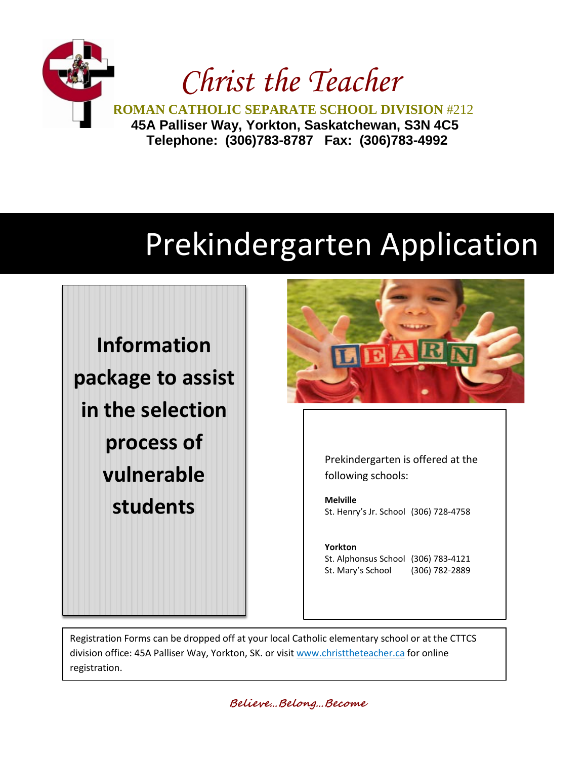

## Prekindergarten Application

**Information package to assist in the selection process of vulnerable students**



Prekindergarten is offered at the following schools:

**Melville** St. Henry's Jr. School (306) 728-4758

**Yorkton**  St. Alphonsus School (306) 783-4121 St. Mary's School (306) 782-2889

Registration Forms can be dropped off at your local Catholic elementary school or at the CTTCS division office: 45A Palliser Way, Yorkton, SK. or visit [www.christtheteacher.ca](http://www.christtheteacher.ca/) for online registration.

**Believe…Belong…Become**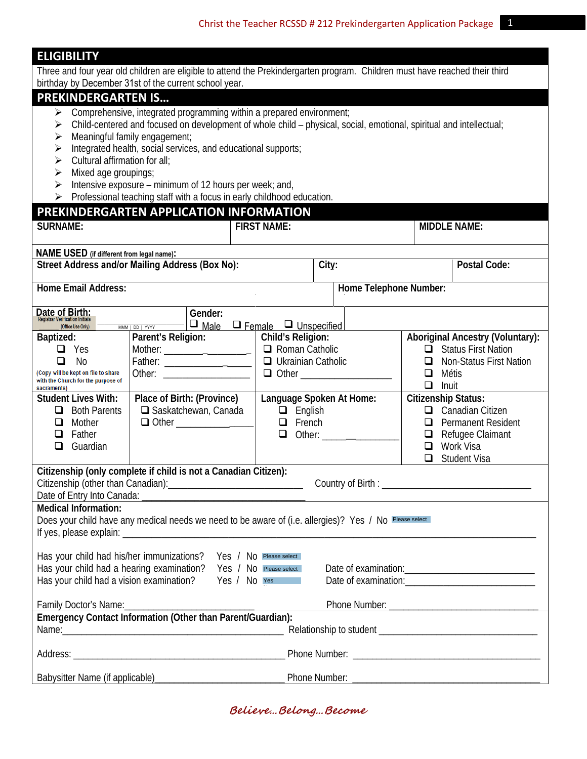|  | <b>ELIGIBILIT</b> |  |  |  |  |  |
|--|-------------------|--|--|--|--|--|
|--|-------------------|--|--|--|--|--|

Three and four year old children are eligible to attend the Prekindergarten program. Children must have reached their third birthday by December 31st of the current school year.

## **PREKINDERGARTEN IS…**

- $\triangleright$  Comprehensive, integrated programming within a prepared environment;
- Child-centered and focused on development of whole child physical, social, emotional, spiritual and intellectual;

SURNAME:  $\vert$  FIRST NAME:  $\vert$  MIDDLE NAME:

- $\triangleright$  Meaningful family engagement;
- $\triangleright$  Integrated health, social services, and educational supports;
- $\triangleright$  Cultural affirmation for all;
- $\triangleright$  Mixed age groupings;
- Intensive exposure minimum of 12 hours per week; and,
- $\triangleright$  Professional teaching staff with a focus in early childhood education.

## **PREKINDERGARTEN APPLICATION INFORMATION**

| NAME USED (if different from legal name):                                                                                                                                                                                                              |                                                                                                                                                                                                                                |                                                                                                        |                                                                                 |  |  |
|--------------------------------------------------------------------------------------------------------------------------------------------------------------------------------------------------------------------------------------------------------|--------------------------------------------------------------------------------------------------------------------------------------------------------------------------------------------------------------------------------|--------------------------------------------------------------------------------------------------------|---------------------------------------------------------------------------------|--|--|
| City:<br>Street Address and/or Mailing Address (Box No):<br><b>Postal Code:</b>                                                                                                                                                                        |                                                                                                                                                                                                                                |                                                                                                        |                                                                                 |  |  |
|                                                                                                                                                                                                                                                        |                                                                                                                                                                                                                                |                                                                                                        |                                                                                 |  |  |
| <b>Home Email Address:</b><br>Home Telephone Number:                                                                                                                                                                                                   |                                                                                                                                                                                                                                |                                                                                                        |                                                                                 |  |  |
|                                                                                                                                                                                                                                                        |                                                                                                                                                                                                                                |                                                                                                        |                                                                                 |  |  |
| Date of Birth:<br>Registrar Verification Initials<br>Gender:                                                                                                                                                                                           |                                                                                                                                                                                                                                |                                                                                                        |                                                                                 |  |  |
| (Office Use Only)                                                                                                                                                                                                                                      | $\Box$ Male<br>MMM   DD   YYYY                                                                                                                                                                                                 | $\Box$ Female $\Box$ Unspecified                                                                       |                                                                                 |  |  |
| Baptized:<br>Yes<br>ப                                                                                                                                                                                                                                  | Parent's Religion:                                                                                                                                                                                                             | Child's Religion:<br>$\Box$ Roman Catholic                                                             | <b>Aboriginal Ancestry (Voluntary):</b><br><b>Status First Nation</b><br>$\Box$ |  |  |
| <b>No</b><br>□                                                                                                                                                                                                                                         | $\text{Mother:}\_$<br>Father: ____________________                                                                                                                                                                             | $\Box$ Ukrainian Catholic                                                                              | <b>Non-Status First Nation</b><br>ப                                             |  |  |
| (Copy will be kept on file to share                                                                                                                                                                                                                    |                                                                                                                                                                                                                                | <b>Q</b> Other ____________________                                                                    | Métis<br>❏                                                                      |  |  |
| with the Church for the purpose of<br>sacraments)                                                                                                                                                                                                      |                                                                                                                                                                                                                                |                                                                                                        | $\Box$<br>Inuit                                                                 |  |  |
| <b>Student Lives With:</b>                                                                                                                                                                                                                             | Place of Birth: (Province)                                                                                                                                                                                                     | Language Spoken At Home:                                                                               | <b>Citizenship Status:</b>                                                      |  |  |
| □ Saskatchewan, Canada<br>$\Box$ English<br>Canadian Citizen<br><b>Both Parents</b><br>$\Box$<br>□                                                                                                                                                     |                                                                                                                                                                                                                                |                                                                                                        |                                                                                 |  |  |
| $\Box$ Other<br>$\Box$ French<br>Mother<br>◻<br>◻                                                                                                                                                                                                      |                                                                                                                                                                                                                                |                                                                                                        | <b>Permanent Resident</b>                                                       |  |  |
| $\Box$<br>Father                                                                                                                                                                                                                                       |                                                                                                                                                                                                                                | Other:<br>$\Box$                                                                                       | Refugee Claimant<br>$\Box$                                                      |  |  |
| Guardian<br>□                                                                                                                                                                                                                                          |                                                                                                                                                                                                                                |                                                                                                        | Work Visa<br>$\Box$                                                             |  |  |
|                                                                                                                                                                                                                                                        |                                                                                                                                                                                                                                |                                                                                                        | $\Box$<br><b>Student Visa</b>                                                   |  |  |
| Citizenship (only complete if child is not a Canadian Citizen):<br>Date of Entry Into Canada:                                                                                                                                                          |                                                                                                                                                                                                                                |                                                                                                        |                                                                                 |  |  |
| <b>Medical Information:</b>                                                                                                                                                                                                                            |                                                                                                                                                                                                                                |                                                                                                        |                                                                                 |  |  |
|                                                                                                                                                                                                                                                        |                                                                                                                                                                                                                                |                                                                                                        |                                                                                 |  |  |
|                                                                                                                                                                                                                                                        |                                                                                                                                                                                                                                | Does your child have any medical needs we need to be aware of (i.e. allergies)? Yes / No Please select |                                                                                 |  |  |
|                                                                                                                                                                                                                                                        |                                                                                                                                                                                                                                |                                                                                                        |                                                                                 |  |  |
|                                                                                                                                                                                                                                                        | Has your child had his/her immunizations? Yes / No Please select                                                                                                                                                               |                                                                                                        |                                                                                 |  |  |
| Has your child had a hearing examination?                                                                                                                                                                                                              |                                                                                                                                                                                                                                | Yes / No Please select                                                                                 |                                                                                 |  |  |
| Has your child had a vision examination?<br>Yes / No Yes<br>Date of examination: example of the state of examination:                                                                                                                                  |                                                                                                                                                                                                                                |                                                                                                        |                                                                                 |  |  |
|                                                                                                                                                                                                                                                        |                                                                                                                                                                                                                                |                                                                                                        |                                                                                 |  |  |
| Phone Number: The Contract of the Contract of the Contract of the Contract of the Contract of the Contract of the Contract of the Contract of the Contract of the Contract of the Contract of the Contract of the Contract of<br>Family Doctor's Name: |                                                                                                                                                                                                                                |                                                                                                        |                                                                                 |  |  |
| Emergency Contact Information (Other than Parent/Guardian):                                                                                                                                                                                            |                                                                                                                                                                                                                                |                                                                                                        |                                                                                 |  |  |
|                                                                                                                                                                                                                                                        | Name: Name and the state of the state of the state of the state of the state of the state of the state of the state of the state of the state of the state of the state of the state of the state of the state of the state of |                                                                                                        |                                                                                 |  |  |
|                                                                                                                                                                                                                                                        |                                                                                                                                                                                                                                | Address: National Communication of Phone Number:                                                       |                                                                                 |  |  |
| Babysitter Name (if applicable)                                                                                                                                                                                                                        |                                                                                                                                                                                                                                | Phone Number:                                                                                          |                                                                                 |  |  |
|                                                                                                                                                                                                                                                        |                                                                                                                                                                                                                                |                                                                                                        |                                                                                 |  |  |

**Believe…Belong…Become**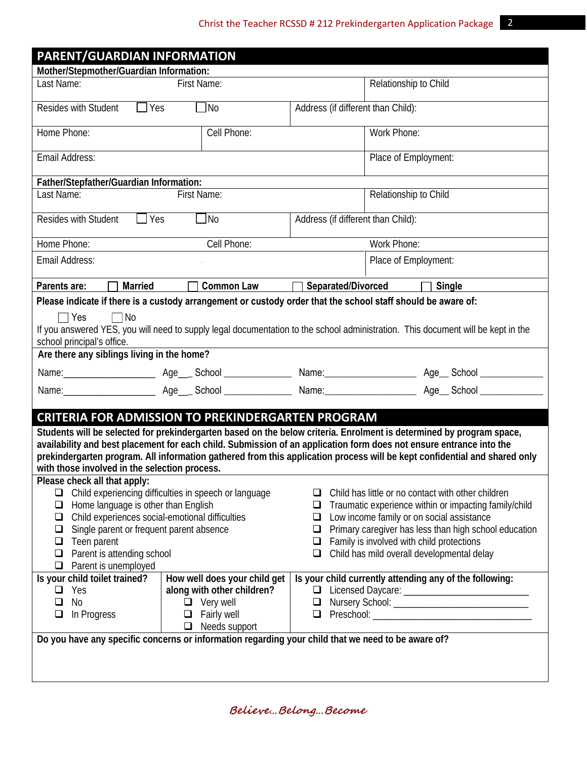| PARENT/GUARDIAN INFORMATION                                                                                                                                                                                                                                                                                                                                                                                               |                                                                                                                              |                            |                                                                                                                                                                                                                                                                                                              |  |  |
|---------------------------------------------------------------------------------------------------------------------------------------------------------------------------------------------------------------------------------------------------------------------------------------------------------------------------------------------------------------------------------------------------------------------------|------------------------------------------------------------------------------------------------------------------------------|----------------------------|--------------------------------------------------------------------------------------------------------------------------------------------------------------------------------------------------------------------------------------------------------------------------------------------------------------|--|--|
| Mother/Stepmother/Guardian Information:                                                                                                                                                                                                                                                                                                                                                                                   |                                                                                                                              |                            |                                                                                                                                                                                                                                                                                                              |  |  |
| Last Name:<br>First Name:                                                                                                                                                                                                                                                                                                                                                                                                 |                                                                                                                              |                            | Relationship to Child                                                                                                                                                                                                                                                                                        |  |  |
| Resides with Student<br>$\Box$ Yes<br>$\Box$ No<br>Address (if different than Child):                                                                                                                                                                                                                                                                                                                                     |                                                                                                                              |                            |                                                                                                                                                                                                                                                                                                              |  |  |
| Home Phone:                                                                                                                                                                                                                                                                                                                                                                                                               | Cell Phone:                                                                                                                  |                            | Work Phone:                                                                                                                                                                                                                                                                                                  |  |  |
| Email Address:                                                                                                                                                                                                                                                                                                                                                                                                            |                                                                                                                              |                            | Place of Employment:                                                                                                                                                                                                                                                                                         |  |  |
| Father/Stepfather/Guardian Information:                                                                                                                                                                                                                                                                                                                                                                                   |                                                                                                                              |                            |                                                                                                                                                                                                                                                                                                              |  |  |
| Relationship to Child<br>Last Name:<br>First Name:                                                                                                                                                                                                                                                                                                                                                                        |                                                                                                                              |                            |                                                                                                                                                                                                                                                                                                              |  |  |
| Resides with Student                                                                                                                                                                                                                                                                                                                                                                                                      | $\blacksquare$ Yes<br>N <sub>o</sub>                                                                                         |                            | Address (if different than Child):                                                                                                                                                                                                                                                                           |  |  |
| Home Phone:                                                                                                                                                                                                                                                                                                                                                                                                               | Cell Phone:                                                                                                                  |                            | Work Phone:                                                                                                                                                                                                                                                                                                  |  |  |
| Email Address:                                                                                                                                                                                                                                                                                                                                                                                                            |                                                                                                                              |                            | Place of Employment:                                                                                                                                                                                                                                                                                         |  |  |
| $\Box$ Married<br>Parents are:                                                                                                                                                                                                                                                                                                                                                                                            | <b>Common Law</b>                                                                                                            | Separated/Divorced         | $\Box$ Single                                                                                                                                                                                                                                                                                                |  |  |
|                                                                                                                                                                                                                                                                                                                                                                                                                           | Please indicate if there is a custody arrangement or custody order that the school staff should be aware of:                 |                            |                                                                                                                                                                                                                                                                                                              |  |  |
| $\sqsupset$ Yes<br>$\Box$ No<br>If you answered YES, you will need to supply legal documentation to the school administration. This document will be kept in the<br>school principal's office.<br>Are there any siblings living in the home?                                                                                                                                                                              |                                                                                                                              |                            |                                                                                                                                                                                                                                                                                                              |  |  |
|                                                                                                                                                                                                                                                                                                                                                                                                                           |                                                                                                                              |                            |                                                                                                                                                                                                                                                                                                              |  |  |
|                                                                                                                                                                                                                                                                                                                                                                                                                           |                                                                                                                              |                            |                                                                                                                                                                                                                                                                                                              |  |  |
|                                                                                                                                                                                                                                                                                                                                                                                                                           |                                                                                                                              |                            | Name: Age Age School Name: Age Age School Name: Age School Age School                                                                                                                                                                                                                                        |  |  |
| <b>CRITERIA FOR ADMISSION TO PREKINDERGARTEN PROGRAM</b>                                                                                                                                                                                                                                                                                                                                                                  |                                                                                                                              |                            |                                                                                                                                                                                                                                                                                                              |  |  |
| Students will be selected for prekindergarten based on the below criteria. Enrolment is determined by program space,<br>availability and best placement for each child. Submission of an application form does not ensure entrance into the<br>prekindergarten program. All information gathered from this application process will be kept confidential and shared only<br>with those involved in the selection process. |                                                                                                                              |                            |                                                                                                                                                                                                                                                                                                              |  |  |
| Please check all that apply:<br>Child experiencing difficulties in speech or language<br>$\Box$<br>Home language is other than English<br>$\Box$<br>Child experiences social-emotional difficulties<br>$\Box$<br>Single parent or frequent parent absence<br>$\Box$<br>Teen parent<br>❏<br>Parent is attending school<br>❏<br>Parent is unemployed<br>❏                                                                   |                                                                                                                              | ப<br>❏<br>❏<br>□<br>□<br>❏ | Child has little or no contact with other children<br>Traumatic experience within or impacting family/child<br>Low income family or on social assistance<br>Primary caregiver has less than high school education<br>Family is involved with child protections<br>Child has mild overall developmental delay |  |  |
| Is your child toilet trained?<br>Yes<br>$\Box$<br>No<br>❏<br>In Progress<br>$\Box$                                                                                                                                                                                                                                                                                                                                        | How well does your child get<br>along with other children?<br>$\Box$ Very well<br>$\Box$ Fairly well<br>$\Box$ Needs support | □<br>$\Box$<br>$\Box$      | Is your child currently attending any of the following:                                                                                                                                                                                                                                                      |  |  |
| Do you have any specific concerns or information regarding your child that we need to be aware of?                                                                                                                                                                                                                                                                                                                        |                                                                                                                              |                            |                                                                                                                                                                                                                                                                                                              |  |  |